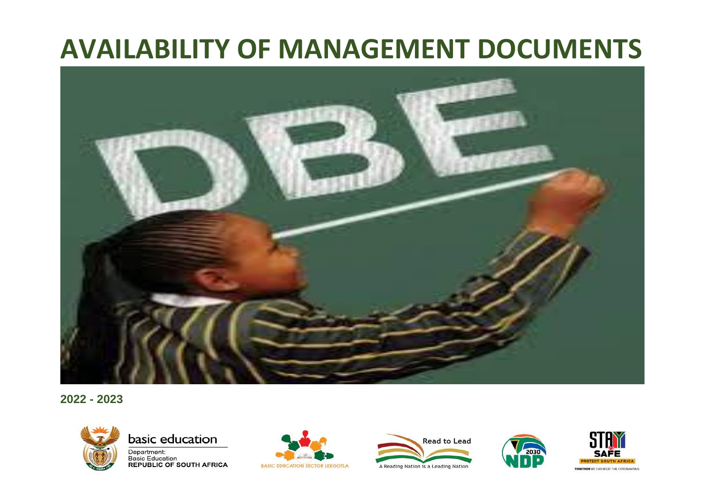

**2022 - 2023**



basic education

Department: **Basic Education REPUBLIC OF SOUTH AFRICA** 







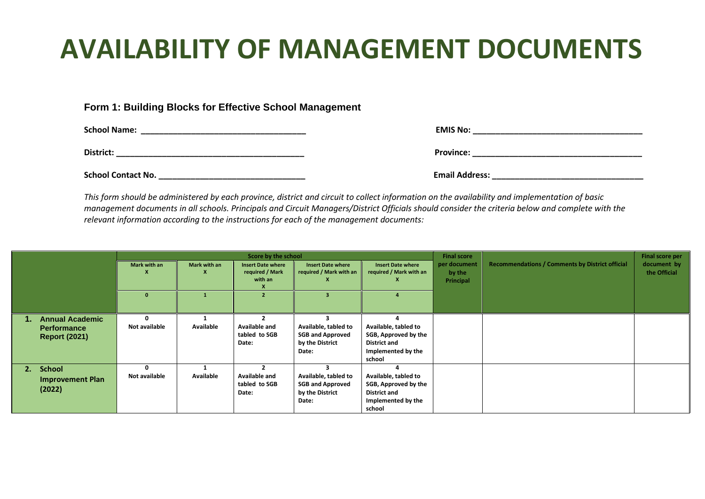#### **Form 1: Building Blocks for Effective School Management**

**School Name:** <u>Department</u> the contract of the contract of the contract of the contract of the contract of the contract of the contract of the contract of the contract of the contract of the contract of the contract of th

**District: \_\_\_\_\_\_\_\_\_\_\_\_\_\_\_\_\_\_\_\_\_\_\_\_\_\_\_\_\_\_\_\_\_\_\_\_\_\_\_\_\_ Province: \_\_\_\_\_\_\_\_\_\_\_\_\_\_\_\_\_\_\_\_\_\_\_\_\_\_\_\_\_\_\_\_\_\_\_\_\_**

| <b>School Contact No.</b> | $\cdot$ .<br><b>Email Address:</b> |
|---------------------------|------------------------------------|
|                           |                                    |

| :mail Address: |  |
|----------------|--|
|                |  |

*This form should be administered by each province, district and circuit to collect information on the availability and implementation of basic management documents in all schools. Principals and Circuit Managers/District Officials should consider the criteria below and complete with the relevant information according to the instructions for each of the management documents:*

|                                                                      | Score by the school |              |                                                        |                                                                             | <b>Final score</b>                                                                                  |                                     | Final score per                                        |                             |
|----------------------------------------------------------------------|---------------------|--------------|--------------------------------------------------------|-----------------------------------------------------------------------------|-----------------------------------------------------------------------------------------------------|-------------------------------------|--------------------------------------------------------|-----------------------------|
|                                                                      | Mark with an        | Mark with an | <b>Insert Date where</b><br>required / Mark<br>with an | <b>Insert Date where</b><br>required / Mark with an                         | <b>Insert Date where</b><br>required / Mark with an                                                 | per document<br>by the<br>Principal | <b>Recommendations / Comments by District official</b> | document by<br>the Official |
|                                                                      |                     |              |                                                        |                                                                             |                                                                                                     |                                     |                                                        |                             |
| <b>Annual Academic</b><br><b>Performance</b><br><b>Report (2021)</b> | Not available       | Available    | Available and<br>tabled to SGB<br>Date:                | Available, tabled to<br><b>SGB and Approved</b><br>by the District<br>Date: | Available, tabled to<br>SGB, Approved by the<br><b>District and</b><br>Implemented by the<br>school |                                     |                                                        |                             |
| <b>School</b><br>2.<br><b>Improvement Plan</b><br>(2022)             | Not available       | Available    | Available and<br>tabled to SGB<br>Date:                | Available, tabled to<br><b>SGB and Approved</b><br>by the District<br>Date: | Available, tabled to<br>SGB, Approved by the<br><b>District and</b><br>Implemented by the<br>school |                                     |                                                        |                             |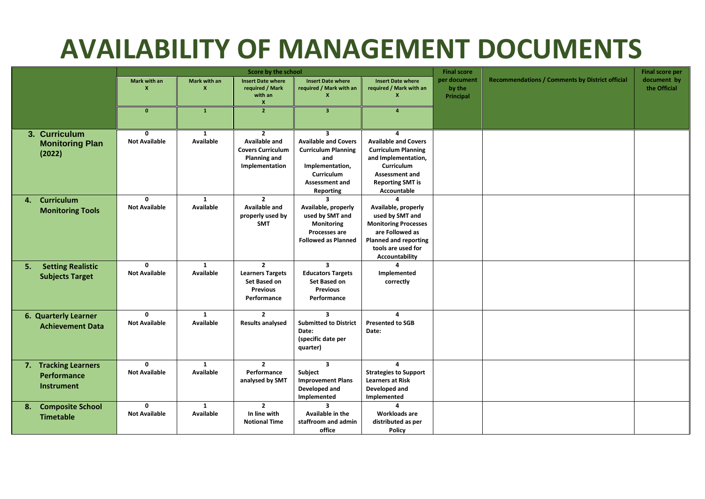|                                                          | Score by the school                  |                                  |                                                                                                             |                                                                                                                                                                    |                                                                                                                                                                        | <b>Final score</b>                  |                                                        | <b>Final score per</b>      |
|----------------------------------------------------------|--------------------------------------|----------------------------------|-------------------------------------------------------------------------------------------------------------|--------------------------------------------------------------------------------------------------------------------------------------------------------------------|------------------------------------------------------------------------------------------------------------------------------------------------------------------------|-------------------------------------|--------------------------------------------------------|-----------------------------|
|                                                          | Mark with an                         | Mark with an<br>$\boldsymbol{x}$ | <b>Insert Date where</b><br>required / Mark<br>with an<br>X                                                 | <b>Insert Date where</b><br>required / Mark with an<br>$\mathbf{x}$                                                                                                | <b>Insert Date where</b><br>required / Mark with an<br>X                                                                                                               | per document<br>by the<br>Principal | <b>Recommendations / Comments by District official</b> | document by<br>the Official |
|                                                          | $\mathbf{0}$                         | $\mathbf{1}$                     | $\overline{2}$                                                                                              | 3 <sup>2</sup>                                                                                                                                                     | $\overline{4}$                                                                                                                                                         |                                     |                                                        |                             |
| 3. Curriculum<br><b>Monitoring Plan</b><br>(2022)        | $\Omega$<br><b>Not Available</b>     | 1<br><b>Available</b>            | $\overline{2}$<br><b>Available and</b><br><b>Covers Curriculum</b><br><b>Planning and</b><br>Implementation | $\overline{\mathbf{3}}$<br><b>Available and Covers</b><br><b>Curriculum Planning</b><br>and<br>Implementation,<br>Curriculum<br><b>Assessment and</b><br>Reporting | 4<br><b>Available and Covers</b><br><b>Curriculum Planning</b><br>and Implementation,<br><b>Curriculum</b><br>Assessment and<br><b>Reporting SMT is</b><br>Accountable |                                     |                                                        |                             |
| Curriculum<br>4.<br><b>Monitoring Tools</b>              | $\mathbf{0}$<br><b>Not Available</b> | $\mathbf{1}$<br><b>Available</b> | $\overline{2}$<br>Available and<br>properly used by<br><b>SMT</b>                                           | 3<br>Available, properly<br>used by SMT and<br>Monitoring<br>Processes are<br><b>Followed as Planned</b>                                                           | Available, properly<br>used by SMT and<br><b>Monitoring Processes</b><br>are Followed as<br><b>Planned and reporting</b><br>tools are used for<br>Accountability       |                                     |                                                        |                             |
| <b>Setting Realistic</b><br>5.<br><b>Subjects Target</b> | $\mathbf{0}$<br><b>Not Available</b> | $\mathbf{1}$<br>Available        | $\overline{2}$<br><b>Learners Targets</b><br>Set Based on<br><b>Previous</b><br>Performance                 | $\overline{\mathbf{3}}$<br><b>Educators Targets</b><br>Set Based on<br><b>Previous</b><br>Performance                                                              | 4<br>Implemented<br>correctly                                                                                                                                          |                                     |                                                        |                             |
| <b>6. Quarterly Learner</b><br><b>Achievement Data</b>   | $\mathbf{0}$<br><b>Not Available</b> | $\mathbf{1}$<br>Available        | $\overline{2}$<br><b>Results analysed</b>                                                                   | $\overline{\mathbf{3}}$<br><b>Submitted to District</b><br>Date:<br>(specific date per<br>quarter)                                                                 | 4<br><b>Presented to SGB</b><br>Date:                                                                                                                                  |                                     |                                                        |                             |
| 7. Tracking Learners<br>Performance<br><b>Instrument</b> | $\mathbf{0}$<br><b>Not Available</b> | $\mathbf{1}$<br><b>Available</b> | $\overline{2}$<br>Performance<br>analysed by SMT                                                            | $\overline{3}$<br>Subject<br><b>Improvement Plans</b><br>Developed and<br>Implemented                                                                              | 4<br><b>Strategies to Support</b><br><b>Learners at Risk</b><br>Developed and<br>Implemented                                                                           |                                     |                                                        |                             |
| <b>Composite School</b><br>8.<br><b>Timetable</b>        | $\Omega$<br><b>Not Available</b>     | $\mathbf{1}$<br>Available        | $\overline{2}$<br>In line with<br><b>Notional Time</b>                                                      | $\mathbf{R}$<br>Available in the<br>staffroom and admin<br>office                                                                                                  | 4<br><b>Workloads are</b><br>distributed as per<br>Policy                                                                                                              |                                     |                                                        |                             |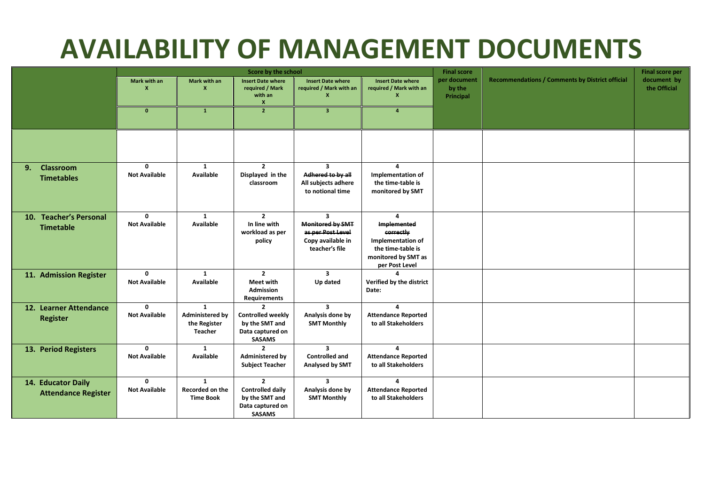|                                                  | Score by the school                       |                                                                   |                                                                                                  |                                                                                                                |                                                                                                                  | <b>Final score</b>                  |                                                        | <b>Final score per</b>      |
|--------------------------------------------------|-------------------------------------------|-------------------------------------------------------------------|--------------------------------------------------------------------------------------------------|----------------------------------------------------------------------------------------------------------------|------------------------------------------------------------------------------------------------------------------|-------------------------------------|--------------------------------------------------------|-----------------------------|
|                                                  | Mark with an<br>$\boldsymbol{\mathsf{x}}$ | Mark with an<br>$\mathbf{x}$                                      | <b>Insert Date where</b><br>required / Mark<br>with an<br>X                                      | <b>Insert Date where</b><br>required / Mark with an                                                            | <b>Insert Date where</b><br>required / Mark with an<br>x                                                         | per document<br>by the<br>Principal | <b>Recommendations / Comments by District official</b> | document by<br>the Official |
|                                                  | $\mathbf{0}$                              | $\mathbf{1}$                                                      | $\overline{2}$                                                                                   | $\overline{3}$                                                                                                 | $\overline{a}$                                                                                                   |                                     |                                                        |                             |
|                                                  |                                           |                                                                   |                                                                                                  |                                                                                                                |                                                                                                                  |                                     |                                                        |                             |
| <b>Classroom</b><br>9.<br><b>Timetables</b>      | $\mathbf 0$<br><b>Not Available</b>       | $\mathbf{1}$<br>Available                                         | $\overline{2}$<br>Displayed in the<br>classroom                                                  | $\overline{\mathbf{3}}$<br>Adhered to by all<br>All subjects adhere<br>to notional time                        | 4<br>Implementation of<br>the time-table is<br>monitored by SMT                                                  |                                     |                                                        |                             |
| 10. Teacher's Personal<br><b>Timetable</b>       | $\mathbf{0}$<br><b>Not Available</b>      | $\mathbf{1}$<br><b>Available</b>                                  | $\overline{2}$<br>In line with<br>workload as per<br>policy                                      | $\overline{\mathbf{3}}$<br><b>Monitored by SMT</b><br>as per Post Level<br>Copy available in<br>teacher's file | 4<br>Implemented<br>correctly<br>Implementation of<br>the time-table is<br>monitored by SMT as<br>per Post Level |                                     |                                                        |                             |
| 11. Admission Register                           | $\mathbf{0}$<br><b>Not Available</b>      | $\mathbf{1}$<br>Available                                         | $\overline{2}$<br><b>Meet with</b><br><b>Admission</b><br>Requirements                           | $\overline{\mathbf{3}}$<br>Up dated                                                                            | $\mathbf{A}$<br>Verified by the district<br>Date:                                                                |                                     |                                                        |                             |
| 12. Learner Attendance<br><b>Register</b>        | $\Omega$<br><b>Not Available</b>          | $\mathbf{1}$<br><b>Administered by</b><br>the Register<br>Teacher | <b>Controlled weekly</b><br>by the SMT and<br>Data captured on<br><b>SASAMS</b>                  | $\overline{\mathbf{3}}$<br>Analysis done by<br><b>SMT Monthly</b>                                              | 4<br><b>Attendance Reported</b><br>to all Stakeholders                                                           |                                     |                                                        |                             |
| 13. Period Registers                             | $\Omega$<br><b>Not Available</b>          | $\mathbf{1}$<br>Available                                         | $\overline{\phantom{a}}$<br><b>Administered by</b><br><b>Subject Teacher</b>                     | $\overline{3}$<br><b>Controlled and</b><br>Analysed by SMT                                                     | 4<br><b>Attendance Reported</b><br>to all Stakeholders                                                           |                                     |                                                        |                             |
| 14. Educator Daily<br><b>Attendance Register</b> | $\Omega$<br><b>Not Available</b>          | $\mathbf{1}$<br>Recorded on the<br><b>Time Book</b>               | $\overline{2}$<br><b>Controlled daily</b><br>by the SMT and<br>Data captured on<br><b>SASAMS</b> | $\overline{3}$<br>Analysis done by<br><b>SMT Monthly</b>                                                       | 4<br><b>Attendance Reported</b><br>to all Stakeholders                                                           |                                     |                                                        |                             |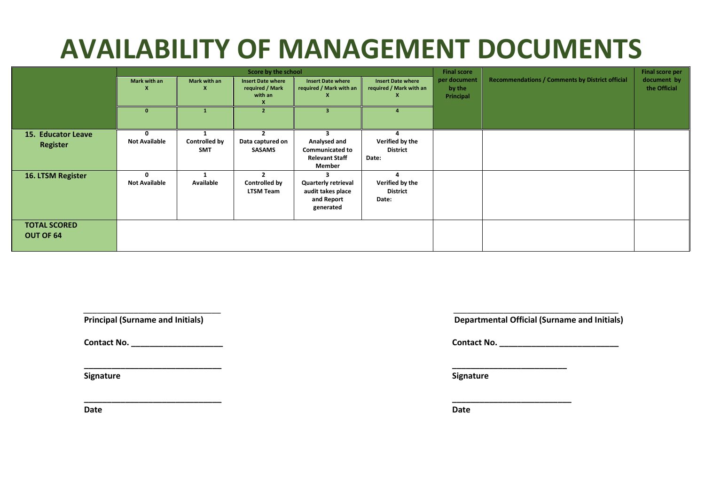|                                       | Score by the school       |                             |                                                        |                                                                            |                                                     |                                     |                                                        | <b>Final score per</b>      |
|---------------------------------------|---------------------------|-----------------------------|--------------------------------------------------------|----------------------------------------------------------------------------|-----------------------------------------------------|-------------------------------------|--------------------------------------------------------|-----------------------------|
|                                       | Mark with an              | Mark with an                | <b>Insert Date where</b><br>required / Mark<br>with an | <b>Insert Date where</b><br>required / Mark with an                        | <b>Insert Date where</b><br>required / Mark with an | per document<br>by the<br>Principal | <b>Recommendations / Comments by District official</b> | document by<br>the Official |
|                                       | $\Omega$                  |                             | $\overline{\phantom{a}}$                               | з.                                                                         |                                                     |                                     |                                                        |                             |
| 15. Educator Leave<br><b>Register</b> | <b>Not Available</b>      | <b>Controlled by</b><br>SMT | Data captured on<br><b>SASAMS</b>                      | Analysed and<br><b>Communicated to</b><br><b>Relevant Staff</b><br>Member  | Verified by the<br><b>District</b><br>Date:         |                                     |                                                        |                             |
| 16. LTSM Register                     | 0<br><b>Not Available</b> | <b>Available</b>            | $\overline{2}$<br>Controlled by<br><b>LTSM Team</b>    | <b>Quarterly retrieval</b><br>audit takes place<br>and Report<br>generated | 4<br>Verified by the<br><b>District</b><br>Date:    |                                     |                                                        |                             |
| <b>TOTAL SCORED</b><br>OUT OF 64      |                           |                             |                                                        |                                                                            |                                                     |                                     |                                                        |                             |

**\_\_\_\_\_\_\_\_\_\_\_\_\_\_\_\_\_\_\_\_\_\_\_\_\_\_\_\_\_\_ \_\_\_\_\_\_\_\_\_\_\_\_\_\_\_\_\_\_\_\_\_\_\_\_\_**

**\_\_\_\_\_\_\_\_\_\_\_\_\_\_\_\_\_\_\_\_\_\_\_\_\_\_\_\_\_\_ \_\_\_\_\_\_\_\_\_\_\_\_\_\_\_\_\_\_\_\_\_\_\_\_\_\_**

 $\overline{\phantom{a}}$  , and the contract of the contract of the contract of the contract of the contract of the contract of the contract of the contract of the contract of the contract of the contract of the contract of the contrac

**Date Date**

**Principal (Surname and Initials)** Departmental Official (Surname and Initials)

**Contact No. \_\_\_\_\_\_\_\_\_\_\_\_\_\_\_\_\_\_\_\_\_\_\_ Contact No. \_\_\_\_\_\_\_\_\_\_\_\_\_\_\_\_\_\_\_\_\_\_\_\_\_\_\_\_\_** 

**Signature Signature**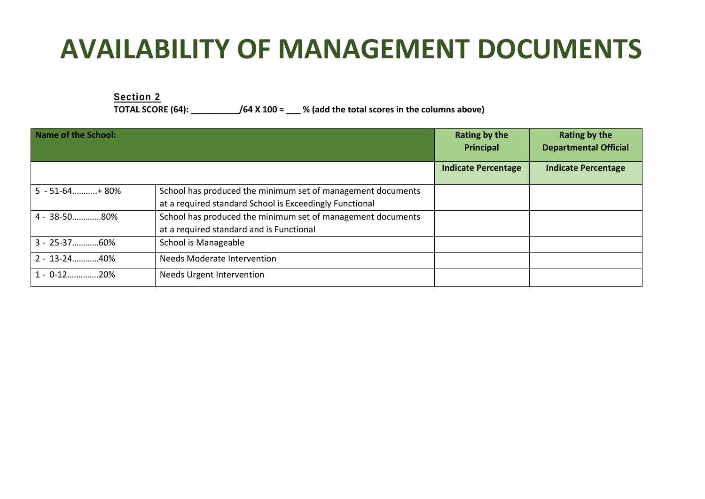**Section 2 TOTAL SCORE (64): \_\_\_\_\_\_\_\_\_\_/64 X 100 = \_\_\_ % (add the total scores in the columns above)**

| <b>Name of the School:</b> |                                                                                                                        | Rating by the<br><b>Principal</b> | <b>Rating by the</b><br><b>Departmental Official</b> |
|----------------------------|------------------------------------------------------------------------------------------------------------------------|-----------------------------------|------------------------------------------------------|
|                            |                                                                                                                        | <b>Indicate Percentage</b>        | <b>Indicate Percentage</b>                           |
| $5 - 51 - 64$ +80%         | School has produced the minimum set of management documents<br>at a required standard School is Exceedingly Functional |                                   |                                                      |
| 4 - 38-5080%               | School has produced the minimum set of management documents<br>at a required standard and is Functional                |                                   |                                                      |
| 3 - 25-3760%               | School is Manageable                                                                                                   |                                   |                                                      |
| $2 - 13 - 24$ 40%          | <b>Needs Moderate Intervention</b>                                                                                     |                                   |                                                      |
| $1 - 0.12$ 20%             | Needs Urgent Intervention                                                                                              |                                   |                                                      |